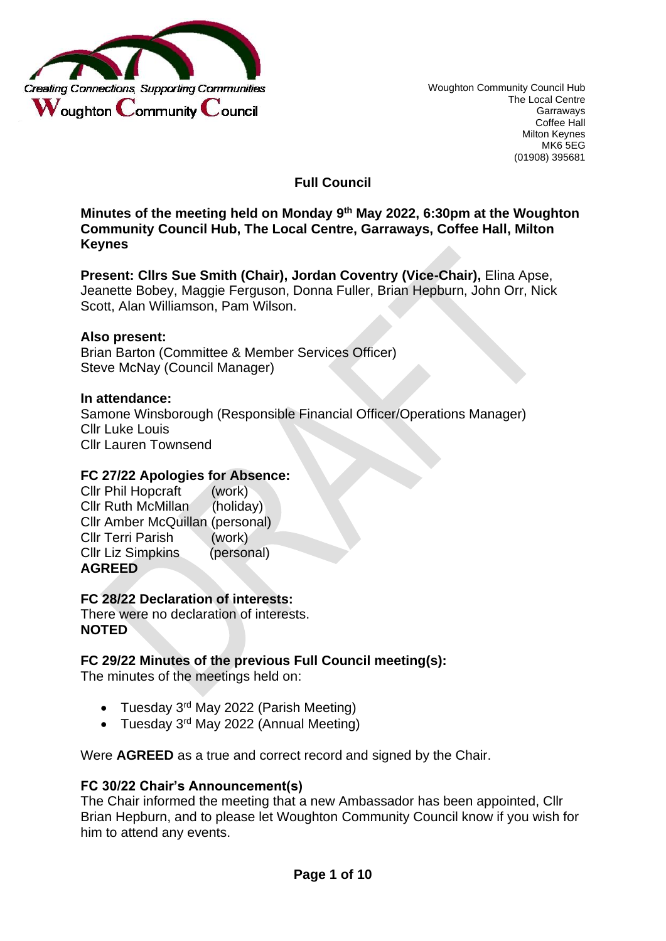

**Full Council** 

**Minutes of the meeting held on Monday 9th May 2022, 6:30pm at the Woughton Community Council Hub, The Local Centre, Garraways, Coffee Hall, Milton Keynes**

**Present: Cllrs Sue Smith (Chair), Jordan Coventry (Vice-Chair),** Elina Apse, Jeanette Bobey, Maggie Ferguson, Donna Fuller, Brian Hepburn, John Orr, Nick Scott, Alan Williamson, Pam Wilson.

#### **Also present:**

Brian Barton (Committee & Member Services Officer) Steve McNay (Council Manager)

#### **In attendance:**

Samone Winsborough (Responsible Financial Officer/Operations Manager) Cllr Luke Louis Cllr Lauren Townsend

#### **FC 27/22 Apologies for Absence:**

| <b>Cllr Phil Hopcraft</b>       | (work)     |
|---------------------------------|------------|
| <b>Cllr Ruth McMillan</b>       | (holiday)  |
| Cllr Amber McQuillan (personal) |            |
| <b>Cllr Terri Parish</b>        | (work)     |
| <b>Cllr Liz Simpkins</b>        | (personal) |
| <b>AGREED</b>                   |            |

#### **FC 28/22 Declaration of interests:**

There were no declaration of interests. **NOTED**

#### **FC 29/22 Minutes of the previous Full Council meeting(s):**

The minutes of the meetings held on:

- Tuesday 3<sup>rd</sup> May 2022 (Parish Meeting)
- Tuesday 3<sup>rd</sup> May 2022 (Annual Meeting)

Were **AGREED** as a true and correct record and signed by the Chair.

#### **FC 30/22 Chair's Announcement(s)**

The Chair informed the meeting that a new Ambassador has been appointed, Cllr Brian Hepburn, and to please let Woughton Community Council know if you wish for him to attend any events.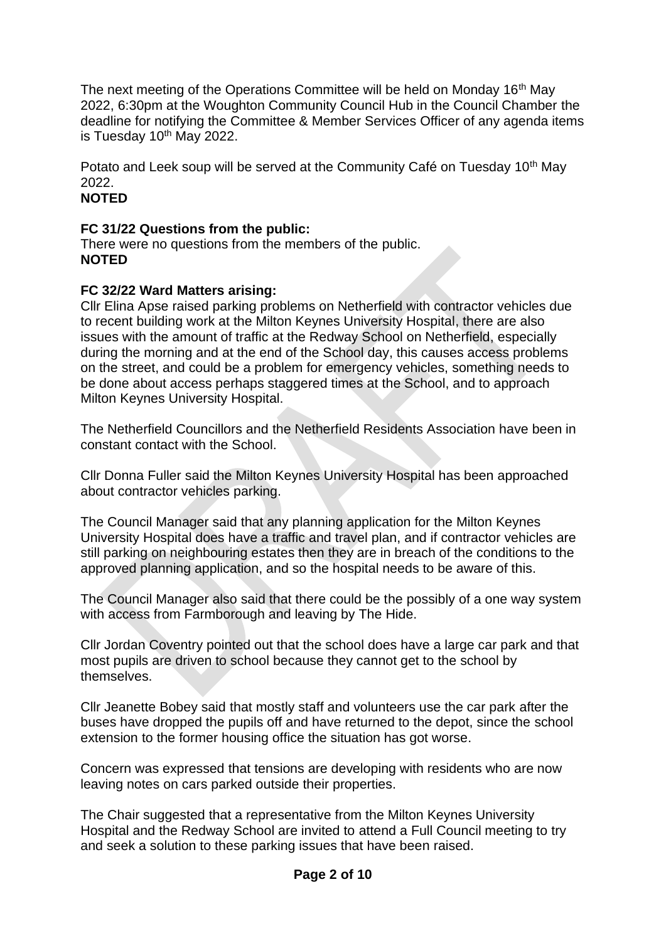The next meeting of the Operations Committee will be held on Monday 16<sup>th</sup> May 2022, 6:30pm at the Woughton Community Council Hub in the Council Chamber the deadline for notifying the Committee & Member Services Officer of any agenda items is Tuesday  $10<sup>th</sup>$  May 2022.

Potato and Leek soup will be served at the Community Café on Tuesday 10<sup>th</sup> May 2022.

## **NOTED**

## **FC 31/22 Questions from the public:**

There were no questions from the members of the public. **NOTED** 

## **FC 32/22 Ward Matters arising:**

Cllr Elina Apse raised parking problems on Netherfield with contractor vehicles due to recent building work at the Milton Keynes University Hospital, there are also issues with the amount of traffic at the Redway School on Netherfield, especially during the morning and at the end of the School day, this causes access problems on the street, and could be a problem for emergency vehicles, something needs to be done about access perhaps staggered times at the School, and to approach Milton Keynes University Hospital.

The Netherfield Councillors and the Netherfield Residents Association have been in constant contact with the School.

Cllr Donna Fuller said the Milton Keynes University Hospital has been approached about contractor vehicles parking.

The Council Manager said that any planning application for the Milton Keynes University Hospital does have a traffic and travel plan, and if contractor vehicles are still parking on neighbouring estates then they are in breach of the conditions to the approved planning application, and so the hospital needs to be aware of this.

The Council Manager also said that there could be the possibly of a one way system with access from Farmborough and leaving by The Hide.

Cllr Jordan Coventry pointed out that the school does have a large car park and that most pupils are driven to school because they cannot get to the school by themselves.

Cllr Jeanette Bobey said that mostly staff and volunteers use the car park after the buses have dropped the pupils off and have returned to the depot, since the school extension to the former housing office the situation has got worse.

Concern was expressed that tensions are developing with residents who are now leaving notes on cars parked outside their properties.

The Chair suggested that a representative from the Milton Keynes University Hospital and the Redway School are invited to attend a Full Council meeting to try and seek a solution to these parking issues that have been raised.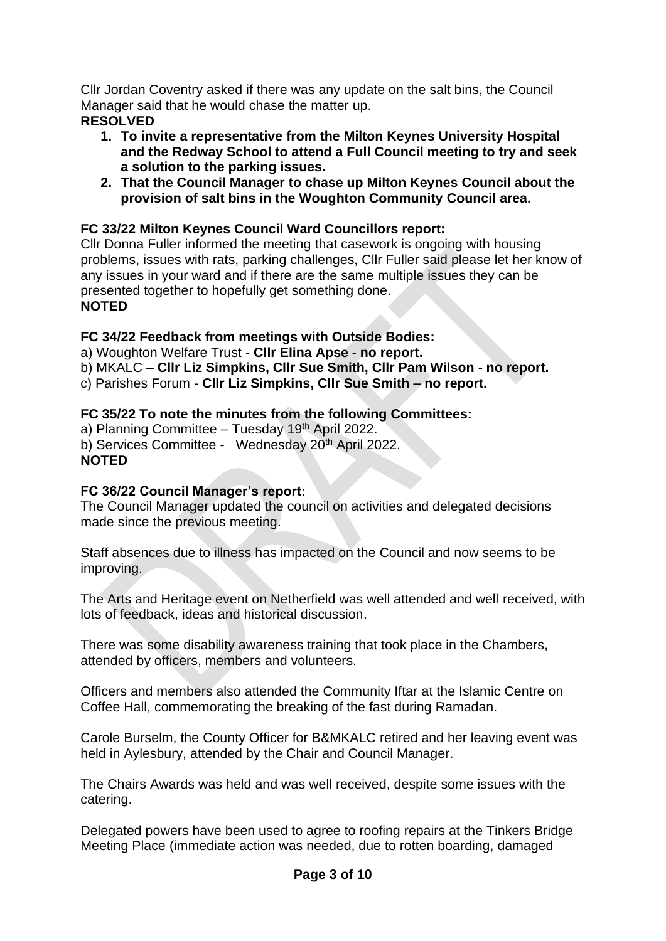Cllr Jordan Coventry asked if there was any update on the salt bins, the Council Manager said that he would chase the matter up.

- **RESOLVED**
	- **1. To invite a representative from the Milton Keynes University Hospital and the Redway School to attend a Full Council meeting to try and seek a solution to the parking issues.**
	- **2. That the Council Manager to chase up Milton Keynes Council about the provision of salt bins in the Woughton Community Council area.**

## **FC 33/22 Milton Keynes Council Ward Councillors report:**

Cllr Donna Fuller informed the meeting that casework is ongoing with housing problems, issues with rats, parking challenges, Cllr Fuller said please let her know of any issues in your ward and if there are the same multiple issues they can be presented together to hopefully get something done. **NOTED** 

## **FC 34/22 Feedback from meetings with Outside Bodies:**

a) Woughton Welfare Trust - **Cllr Elina Apse - no report.**

b) MKALC – **Cllr Liz Simpkins, Cllr Sue Smith, Cllr Pam Wilson - no report.**

c) Parishes Forum - **Cllr Liz Simpkins, Cllr Sue Smith – no report.** 

## **FC 35/22 To note the minutes from the following Committees:**

a) Planning Committee – Tuesday 19<sup>th</sup> April 2022. b) Services Committee - Wednesday 20<sup>th</sup> April 2022. **NOTED**

## **FC 36/22 Council Manager's report:**

The Council Manager updated the council on activities and delegated decisions made since the previous meeting.

Staff absences due to illness has impacted on the Council and now seems to be improving.

The Arts and Heritage event on Netherfield was well attended and well received, with lots of feedback, ideas and historical discussion.

There was some disability awareness training that took place in the Chambers, attended by officers, members and volunteers.

Officers and members also attended the Community Iftar at the Islamic Centre on Coffee Hall, commemorating the breaking of the fast during Ramadan.

Carole Burselm, the County Officer for B&MKALC retired and her leaving event was held in Aylesbury, attended by the Chair and Council Manager.

The Chairs Awards was held and was well received, despite some issues with the catering.

Delegated powers have been used to agree to roofing repairs at the Tinkers Bridge Meeting Place (immediate action was needed, due to rotten boarding, damaged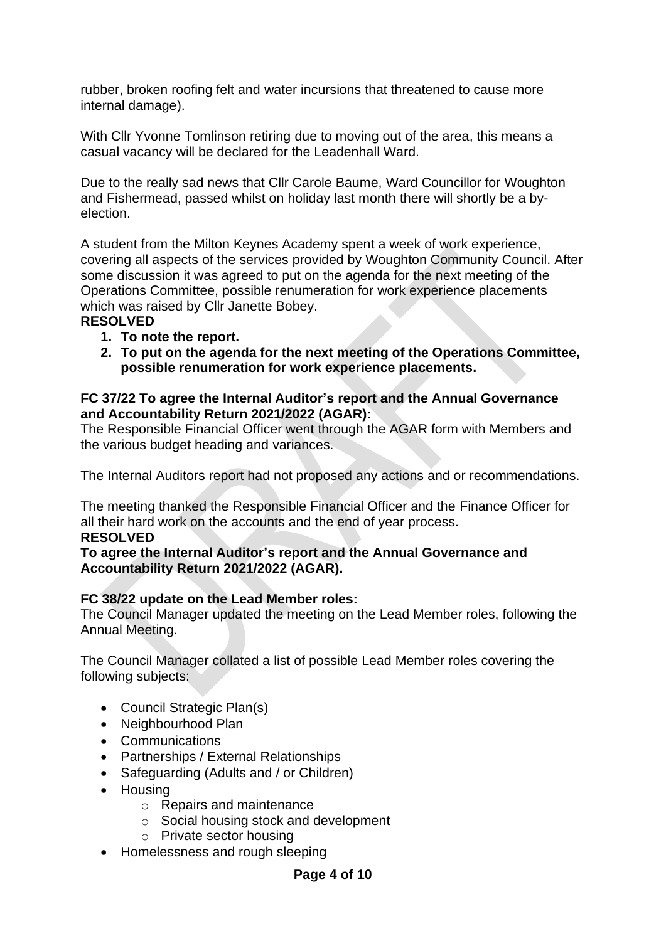rubber, broken roofing felt and water incursions that threatened to cause more internal damage).

With Cllr Yvonne Tomlinson retiring due to moving out of the area, this means a casual vacancy will be declared for the Leadenhall Ward.

Due to the really sad news that Cllr Carole Baume, Ward Councillor for Woughton and Fishermead, passed whilst on holiday last month there will shortly be a byelection.

A student from the Milton Keynes Academy spent a week of work experience, covering all aspects of the services provided by Woughton Community Council. After some discussion it was agreed to put on the agenda for the next meeting of the Operations Committee, possible renumeration for work experience placements which was raised by Cllr Janette Bobey.

## **RESOLVED**

- **1. To note the report.**
- **2. To put on the agenda for the next meeting of the Operations Committee, possible renumeration for work experience placements.**

#### **FC 37/22 To agree the Internal Auditor's report and the Annual Governance and Accountability Return 2021/2022 (AGAR):**

The Responsible Financial Officer went through the AGAR form with Members and the various budget heading and variances.

The Internal Auditors report had not proposed any actions and or recommendations.

The meeting thanked the Responsible Financial Officer and the Finance Officer for all their hard work on the accounts and the end of year process.

#### **RESOLVED**

#### **To agree the Internal Auditor's report and the Annual Governance and Accountability Return 2021/2022 (AGAR).**

#### **FC 38/22 update on the Lead Member roles:**

The Council Manager updated the meeting on the Lead Member roles, following the Annual Meeting.

The Council Manager collated a list of possible Lead Member roles covering the following subjects:

- Council Strategic Plan(s)
- Neighbourhood Plan
- Communications
- Partnerships / External Relationships
- Safeguarding (Adults and / or Children)
- Housing
	- o Repairs and maintenance
	- o Social housing stock and development
	- o Private sector housing
- Homelessness and rough sleeping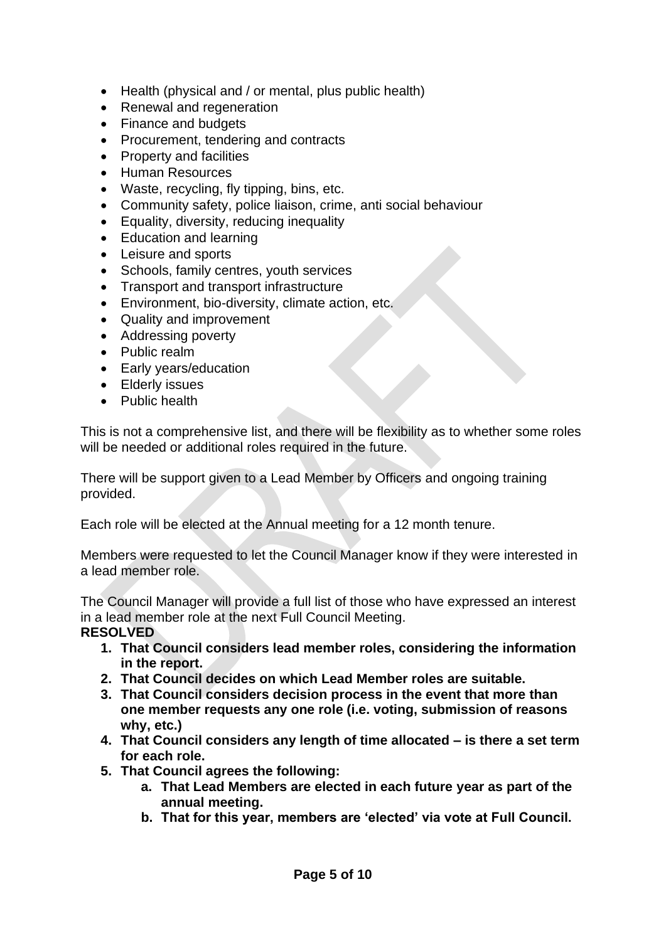- Health (physical and / or mental, plus public health)
- Renewal and regeneration
- Finance and budgets
- Procurement, tendering and contracts
- Property and facilities
- Human Resources
- Waste, recycling, fly tipping, bins, etc.
- Community safety, police liaison, crime, anti social behaviour
- Equality, diversity, reducing inequality
- Education and learning
- Leisure and sports
- Schools, family centres, youth services
- Transport and transport infrastructure
- Environment, bio-diversity, climate action, etc.
- Quality and improvement
- Addressing poverty
- Public realm
- Early years/education
- Elderly issues
- Public health

This is not a comprehensive list, and there will be flexibility as to whether some roles will be needed or additional roles required in the future.

There will be support given to a Lead Member by Officers and ongoing training provided.

Each role will be elected at the Annual meeting for a 12 month tenure.

Members were requested to let the Council Manager know if they were interested in a lead member role.

The Council Manager will provide a full list of those who have expressed an interest in a lead member role at the next Full Council Meeting.

- **RESOLVED** 
	- **1. That Council considers lead member roles, considering the information in the report.**
	- **2. That Council decides on which Lead Member roles are suitable.**
	- **3. That Council considers decision process in the event that more than one member requests any one role (i.e. voting, submission of reasons why, etc.)**
	- **4. That Council considers any length of time allocated – is there a set term for each role.**
	- **5. That Council agrees the following:**
		- **a. That Lead Members are elected in each future year as part of the annual meeting.**
		- **b. That for this year, members are 'elected' via vote at Full Council.**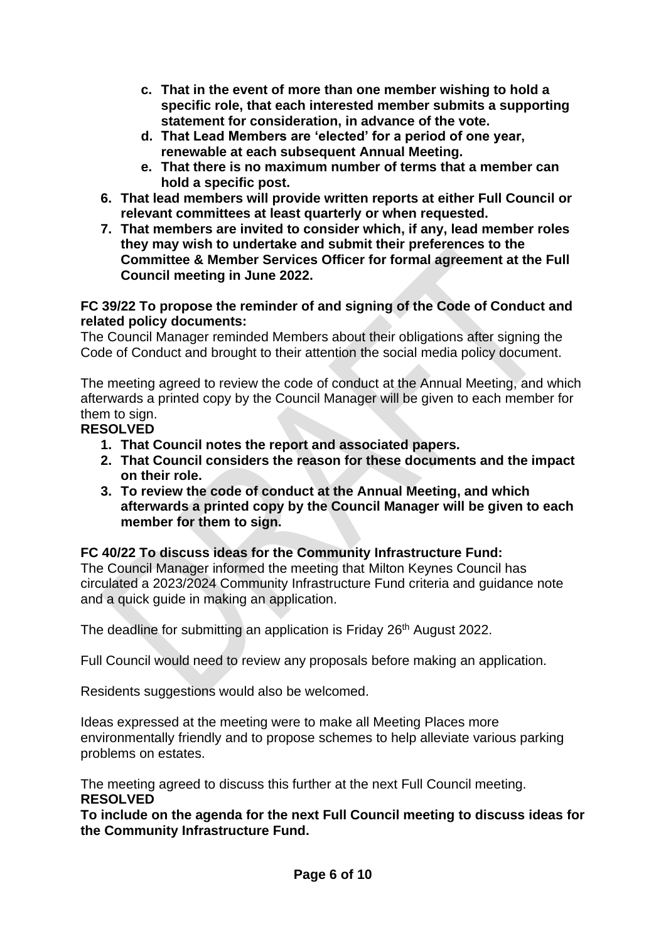- **c. That in the event of more than one member wishing to hold a specific role, that each interested member submits a supporting statement for consideration, in advance of the vote.**
- **d. That Lead Members are 'elected' for a period of one year, renewable at each subsequent Annual Meeting.**
- **e. That there is no maximum number of terms that a member can hold a specific post.**
- **6. That lead members will provide written reports at either Full Council or relevant committees at least quarterly or when requested.**
- **7. That members are invited to consider which, if any, lead member roles they may wish to undertake and submit their preferences to the Committee & Member Services Officer for formal agreement at the Full Council meeting in June 2022.**

#### **FC 39/22 To propose the reminder of and signing of the Code of Conduct and related policy documents:**

The Council Manager reminded Members about their obligations after signing the Code of Conduct and brought to their attention the social media policy document.

The meeting agreed to review the code of conduct at the Annual Meeting, and which afterwards a printed copy by the Council Manager will be given to each member for them to sign.

## **RESOLVED**

- **1. That Council notes the report and associated papers.**
- **2. That Council considers the reason for these documents and the impact on their role.**
- **3. To review the code of conduct at the Annual Meeting, and which afterwards a printed copy by the Council Manager will be given to each member for them to sign.**

## **FC 40/22 To discuss ideas for the Community Infrastructure Fund:**

The Council Manager informed the meeting that Milton Keynes Council has circulated a 2023/2024 Community Infrastructure Fund criteria and guidance note and a quick guide in making an application.

The deadline for submitting an application is Friday 26<sup>th</sup> August 2022.

Full Council would need to review any proposals before making an application.

Residents suggestions would also be welcomed.

Ideas expressed at the meeting were to make all Meeting Places more environmentally friendly and to propose schemes to help alleviate various parking problems on estates.

The meeting agreed to discuss this further at the next Full Council meeting. **RESOLVED**

**To include on the agenda for the next Full Council meeting to discuss ideas for the Community Infrastructure Fund.**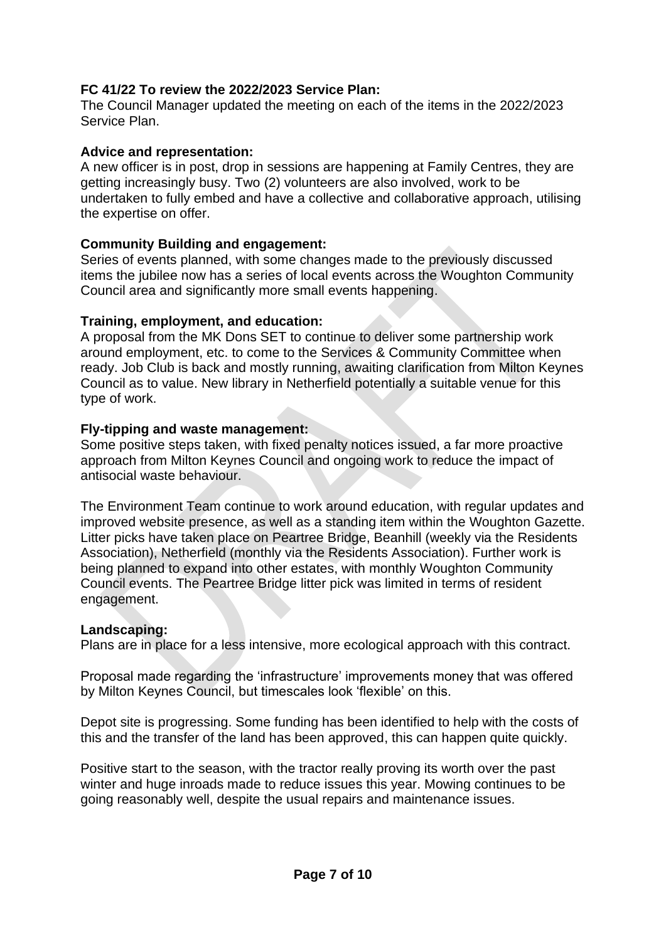## **FC 41/22 To review the 2022/2023 Service Plan:**

The Council Manager updated the meeting on each of the items in the 2022/2023 Service Plan.

#### **Advice and representation:**

A new officer is in post, drop in sessions are happening at Family Centres, they are getting increasingly busy. Two (2) volunteers are also involved, work to be undertaken to fully embed and have a collective and collaborative approach, utilising the expertise on offer.

## **Community Building and engagement:**

Series of events planned, with some changes made to the previously discussed items the jubilee now has a series of local events across the Woughton Community Council area and significantly more small events happening.

#### **Training, employment, and education:**

A proposal from the MK Dons SET to continue to deliver some partnership work around employment, etc. to come to the Services & Community Committee when ready. Job Club is back and mostly running, awaiting clarification from Milton Keynes Council as to value. New library in Netherfield potentially a suitable venue for this type of work.

#### **Fly-tipping and waste management:**

Some positive steps taken, with fixed penalty notices issued, a far more proactive approach from Milton Keynes Council and ongoing work to reduce the impact of antisocial waste behaviour.

The Environment Team continue to work around education, with regular updates and improved website presence, as well as a standing item within the Woughton Gazette. Litter picks have taken place on Peartree Bridge, Beanhill (weekly via the Residents Association), Netherfield (monthly via the Residents Association). Further work is being planned to expand into other estates, with monthly Woughton Community Council events. The Peartree Bridge litter pick was limited in terms of resident engagement.

#### **Landscaping:**

Plans are in place for a less intensive, more ecological approach with this contract.

Proposal made regarding the 'infrastructure' improvements money that was offered by Milton Keynes Council, but timescales look 'flexible' on this.

Depot site is progressing. Some funding has been identified to help with the costs of this and the transfer of the land has been approved, this can happen quite quickly.

Positive start to the season, with the tractor really proving its worth over the past winter and huge inroads made to reduce issues this year. Mowing continues to be going reasonably well, despite the usual repairs and maintenance issues.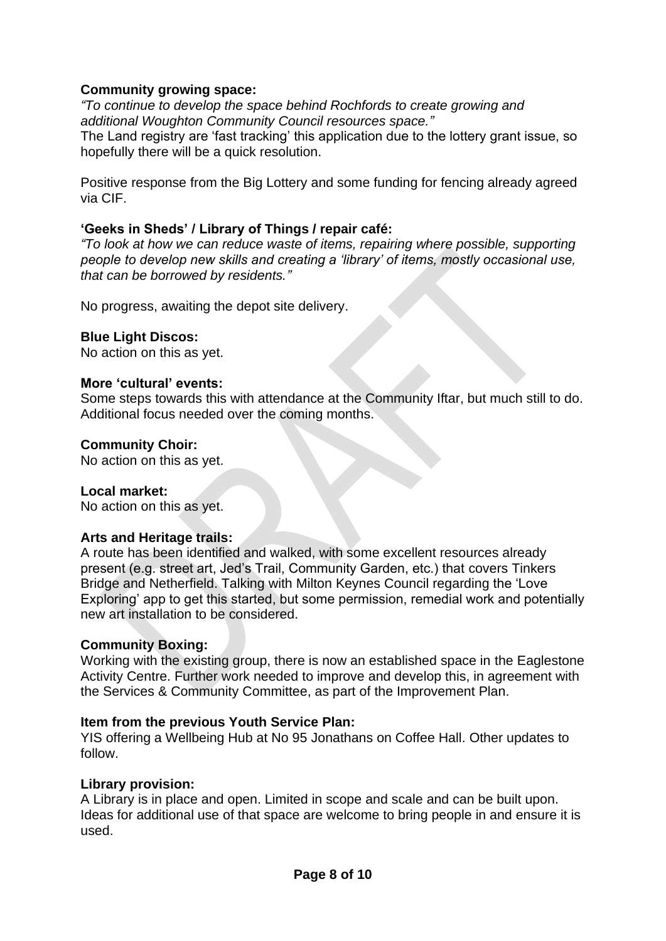## **Community growing space:**

*"To continue to develop the space behind Rochfords to create growing and additional Woughton Community Council resources space."*

The Land registry are 'fast tracking' this application due to the lottery grant issue, so hopefully there will be a quick resolution.

Positive response from the Big Lottery and some funding for fencing already agreed via CIF.

#### **'Geeks in Sheds' / Library of Things / repair café:**

*"To look at how we can reduce waste of items, repairing where possible, supporting people to develop new skills and creating a 'library' of items, mostly occasional use, that can be borrowed by residents."*

No progress, awaiting the depot site delivery.

#### **Blue Light Discos:**

No action on this as yet.

#### **More 'cultural' events:**

Some steps towards this with attendance at the Community Iftar, but much still to do. Additional focus needed over the coming months.

#### **Community Choir:**

No action on this as yet.

#### **Local market:**

No action on this as yet.

#### **Arts and Heritage trails:**

A route has been identified and walked, with some excellent resources already present (e.g. street art, Jed's Trail, Community Garden, etc.) that covers Tinkers Bridge and Netherfield. Talking with Milton Keynes Council regarding the 'Love Exploring' app to get this started, but some permission, remedial work and potentially new art installation to be considered.

#### **Community Boxing:**

Working with the existing group, there is now an established space in the Eaglestone Activity Centre. Further work needed to improve and develop this, in agreement with the Services & Community Committee, as part of the Improvement Plan.

#### **Item from the previous Youth Service Plan:**

YIS offering a Wellbeing Hub at No 95 Jonathans on Coffee Hall. Other updates to follow.

#### **Library provision:**

A Library is in place and open. Limited in scope and scale and can be built upon. Ideas for additional use of that space are welcome to bring people in and ensure it is used.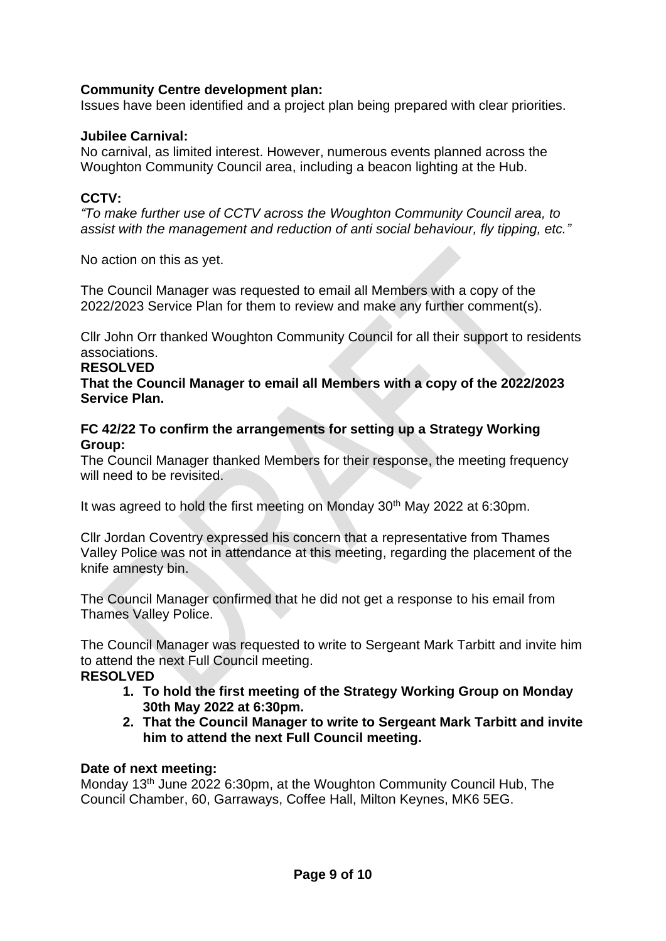## **Community Centre development plan:**

Issues have been identified and a project plan being prepared with clear priorities.

## **Jubilee Carnival:**

No carnival, as limited interest. However, numerous events planned across the Woughton Community Council area, including a beacon lighting at the Hub.

## **CCTV:**

*"To make further use of CCTV across the Woughton Community Council area, to assist with the management and reduction of anti social behaviour, fly tipping, etc."*

No action on this as yet.

The Council Manager was requested to email all Members with a copy of the 2022/2023 Service Plan for them to review and make any further comment(s).

Cllr John Orr thanked Woughton Community Council for all their support to residents associations.

#### **RESOLVED**

**That the Council Manager to email all Members with a copy of the 2022/2023 Service Plan.**

#### **FC 42/22 To confirm the arrangements for setting up a Strategy Working Group:**

The Council Manager thanked Members for their response, the meeting frequency will need to be revisited.

It was agreed to hold the first meeting on Monday 30<sup>th</sup> May 2022 at 6:30pm.

Cllr Jordan Coventry expressed his concern that a representative from Thames Valley Police was not in attendance at this meeting, regarding the placement of the knife amnesty bin.

The Council Manager confirmed that he did not get a response to his email from Thames Valley Police.

The Council Manager was requested to write to Sergeant Mark Tarbitt and invite him to attend the next Full Council meeting.

#### **RESOLVED**

- **1. To hold the first meeting of the Strategy Working Group on Monday 30th May 2022 at 6:30pm.**
- **2. That the Council Manager to write to Sergeant Mark Tarbitt and invite him to attend the next Full Council meeting.**

#### **Date of next meeting:**

Monday 13th June 2022 6:30pm, at the Woughton Community Council Hub, The Council Chamber, 60, Garraways, Coffee Hall, Milton Keynes, MK6 5EG.